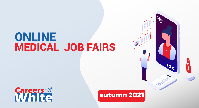### ONLINE MEDICAL JOB FAIRS



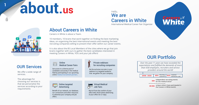## **about.us**

#### International Medical Career Fair Organizer We are Hello, Careers in White

**1**

### About Careers in White

Careers in White is about a Team.

10 members, 10 brains that work together on finding the best marketing ideas, on organising the best International events and meeting the best recruiting companies willing to present their offer within our career events.

It is also about the 85 Local Members of the cities where we go that join brains together with ours to gather the best candidates interested in meeting Careers in White, YOU and your job offers!

#### OUR Services

We offer a wide range of services.

The advantage for choosing our services is that we personalise the services according to your requirements

#### $\frac{1}{2} \frac{1}{2} \frac{1}{2} \frac{1}{2} \frac{1}{2} \frac{1}{2} \frac{1}{2} \frac{1}{2} \frac{1}{2} \frac{1}{2} \frac{1}{2} \frac{1}{2} \frac{1}{2} \frac{1}{2} \frac{1}{2} \frac{1}{2} \frac{1}{2} \frac{1}{2} \frac{1}{2} \frac{1}{2} \frac{1}{2} \frac{1}{2} \frac{1}{2} \frac{1}{2} \frac{1}{2} \frac{1}{2} \frac{1}{2} \frac{1}{2} \frac{1}{2} \frac{1}{2} \frac{1}{2} \frac{$ Online **15** Medical Career Fairs

Get access to a diverse pool of candidates exclusively in the medical field by participating in our upcoming online medical recruitment job fairs.

#### Online targeted **Advertising**

Benefit of our network, our database, our connections and other resources to advertise your company and job offers.

#### Private webinars for recruiting companies

Be the exclusive recruiter in your webinar to a targeted audience that we gather for your company.

Virtual Medical Job Fairs

Recruit from the comfort of your office with 24/24 online advertising of your offers for 21 days.

### OUR Portfolio

**Careers**..9

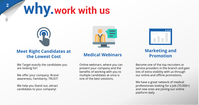### **why.work with us**



#### **Meet Right Candidates at the Lowest Cost**

We Target exactly the candidates you are looking for!

We offer your company: Brand awareness, Familiarity, TRUST!

We help you Stand out, attract candidates to your company!



### **Medical Webinars**

Online webinars, where you can present your company and the benefits of working with you to multiple candidates at once is one of the best solutions.



#### **Marketing and Promotion**

Become one of the top recruiters or service providers in the branch and gain lots of extra visibility with us through our online and offline promotions.

We have a great network of medical professionals looking for a job (70.000+) and new ones are joining our online platform daily.

**2**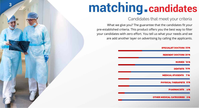## **matching.candidates**

**3**

#### Candidates that meet your criteria

What we give you? The guarantee that the candidates fit your pre-established criteria. This product offers you the best way to filter your candidates with zero effort. You tell us what your needs and we are add another layer on advertising by calling the applicants.

| <b>SPECIALIST DOCTORS 33%</b>      |  |
|------------------------------------|--|
| <b>RESIDENT DOCTORS 20%</b>        |  |
| <b>NURSES 18%</b>                  |  |
| <b>DENTISTS 10%</b>                |  |
| <b>MEDICAL STUDENTS 7 %</b>        |  |
| <b>PHYSICAL THERAPISTS 6%</b>      |  |
| <b>PHARMACISTS</b><br>4%           |  |
| <b>OTHER MEDICAL CATEGORIES 2%</b> |  |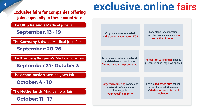jobs especially in these countries:

The **UK & Ireland's** Medical jobs fair

**September: 13 - 19** 

The **Germany & Swiss** Medical jobs fair

**September: 20-26**

The **France & Belgium's** Medical jobs fair

**September 27- October 3**

The **Scandinavian** Medical jobs fair

**October: 4 - 10**

The **Netherlands** Medical jobs fair

**October: 11 - 17** 

### **Exclusive fairs for companies offering exclusive.online fairs**

Only candidates interested in the country you recruit FOR

Easy steps for connecting with the candidates once you know their interest.

Access to our extensive network and database of candidates filtered by country preference.

Relocation willingness already presented once they have applied

Targeted marketing campaigns in networks of candidates interested in your specific country.

 Have a dedicated spot for your area of interest. One week of dedicated activities and webinars.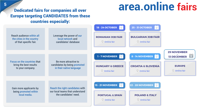### **area.online fairs**

### Dedicated fairs for companies all over Europe targeting CANDIDATES from these countries especially:

|                                                                                         | Leverage the power of our<br>local network and<br>candidates' database                             | <b>18 - 24 OCTOBER</b>                       | <b>25 - 31 OCTOBER</b><br>$\overline{O}$                    |                                       |
|-----------------------------------------------------------------------------------------|----------------------------------------------------------------------------------------------------|----------------------------------------------|-------------------------------------------------------------|---------------------------------------|
| <b>Reach audience within all</b><br>the cities in the country<br>of that specific fair. |                                                                                                    | <b>ROMANIAN JOB FAIR</b><br>O Online fair    | <b>BULGARIAN JOB FAIR</b><br>O Online fair                  |                                       |
|                                                                                         |                                                                                                    |                                              |                                                             | <b>29 NOVEMBER</b>                    |
| Focus on the countries that<br>bring the best results<br>to your company.               | Be more attractive to<br>candidates by being promoted<br>in their native language                  | 1 - 7 NOVEMBER                               | 8 - 14 NOVEMBER                                             | $\boxed{\circ}$<br><b>13 DECEMBER</b> |
|                                                                                         |                                                                                                    | <b>HUNGARY &amp; GREECE</b><br>O Online fair | <b>CROATIA &amp; SLOVENIA</b><br>$\circledcirc$ Online fair | <b>EUROPE</b><br>O Online fair        |
|                                                                                         |                                                                                                    |                                              |                                                             |                                       |
| <b>Gain more applicants by</b><br>being promoted within<br>local media.                 | <b>Reach the right candidates with</b><br>our local teams that understand<br>the candidates' need. | 15 - 21 NOVEMBER                             | 22 - 28 NOVEMBER                                            |                                       |
|                                                                                         |                                                                                                    | <b>PORTUGAL &amp; SPAIN</b>                  | <b>POLAND &amp; ITALY</b>                                   |                                       |
|                                                                                         |                                                                                                    | O Online fair                                | O Online fair                                               |                                       |
|                                                                                         |                                                                                                    |                                              |                                                             |                                       |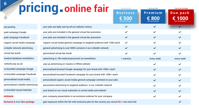| 6                                         | pricing.online fair                                                                               | (*price per fair)<br><b>Business</b><br>500 | (*price per fair)<br>Premium<br>€ 800<br>VAT not included | (*price per package)<br>Duo pack |
|-------------------------------------------|---------------------------------------------------------------------------------------------------|---------------------------------------------|-----------------------------------------------------------|----------------------------------|
| job posting                               | your jobs are daily saw by all our website visitors                                               | $\checkmark$                                | $\checkmark$                                              | $\checkmark$                     |
| paid campaign Google                      | your jobs are included in the general virtual fair promotion                                      | $\checkmark$                                | $\checkmark$                                              | ✓                                |
| paid campaign Facebook                    | your jobs are included in the general virtual fair promotion                                      | $\checkmark$                                | ✓                                                         | $\checkmark$                     |
| organic social media campaign             | organic social media general campaign to targeted audience with 150k reach                        | $\checkmark$                                | ✓                                                         | ✓                                |
| LinkedIn network advertising              | general advertising to over 5000 contacts in our LinkedIn network                                 | $\checkmark$                                | $\checkmark$                                              | $\checkmark$                     |
| virtual fair booth                        | personlized virtual fair booth                                                                    | $\checkmark$                                | $\checkmark$                                              | $\checkmark$                     |
| medical database newsletters              | advertising to 70k medical personnel via newsletters                                              | 1 mention                                   | every week                                                | every week                       |
| website pop up ad.                        | pop up advertising on Careers in White website                                                    |                                             | $\checkmark$                                              | ✓                                |
| co-branded campaign Google                | personalised boosted Google campaign for your brand with 100k+ reach                              |                                             | $\checkmark$                                              | $\checkmark$                     |
| co-branded campaign Facebook              | personalised boosted Facebook campaign for your brand with 150k+ reach                            |                                             | ✓                                                         | ✓                                |
| personalized social media                 | personalized organic social media general campaign centered on your jobs                          |                                             | $\checkmark$                                              | $\checkmark$                     |
| personalized LinkedIn advertising         | personlized advertising to targeted audience in our LinkedIn network                              |                                             | ✓                                                         | $\checkmark$                     |
| co-branded visual materials               | your brand on our visual materials on social media and website                                    |                                             | ✓                                                         | $\checkmark$                     |
| <b>WEBINAR</b>                            | your company presentation in an exclusive webinar for your company                                |                                             | $\checkmark$                                              | ✓                                |
| <b>Exclusive &amp; Area fairs package</b> | gain exposure within the fair with exclusive jobs for the country you recruit for + one more fair |                                             |                                                           |                                  |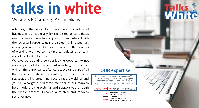# **talks in white**

Webinars & Company Presentations

**Lore** businesses but especially for recruiters, as candidates Adapting to the new global situation is important for all need to have a scape to ask questions and interact with the recruiter in order to gain their trust. Online webinar, where you can present your company and the benefits of working with you to multiple candidates at once is one of the best solutions.

help moderate the webinar and support you through registed and promote and promote and promote and promote and p the whole process. Become a trusted and modern *ed on your target group directly in front of you. Individualised offer is to be made bas* We give participating companies the opportunity not only to present themselves but also to get in contact with all the participants afterwards. We take care of all the necessary steps: promotion, technical needs, registration, live streaming, recording the webinar and you will also get a dedicated member of our team to recruiter now

### OUR expertise

**5**

**4**

*Over the past season we have exceeded the expectations of 6 international employers, recruiters and service providers to gain exposure within a large targeted audience!*

| you through | <b>Spring - 2020</b> | 98% matching<br>audience                       | customer<br>94%<br>satisfaction rate! |  |  |
|-------------|----------------------|------------------------------------------------|---------------------------------------|--|--|
| ind modern  | 6                    | independent webinars<br>for the medical sector |                                       |  |  |
|             |                      |                                                |                                       |  |  |
|             | 2.498                | registered candidates to                       | attend Talks in White webinars.       |  |  |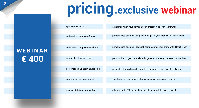# **pricing.exclusive webinar**

sponsored webinar personalized LinkedIn advertising co-branded visual materials medical database newsletters co branded campaign Google co branded campaign Facebook a webinar when your company can present it self for 15 minutes personalised boosted Google campaign for your brand with 100k+ reach personalised boosted Facebook campaign for your brand with 150k+ reach personalized social media personalized organic social media general campaign centered on webinar personlized advertising to targeted audience in our LinkedIn network your brand on our visual materials on social media and website advertising to 70k medical specialist via newsletters every week

# **€ 400**

**WEBINAR**